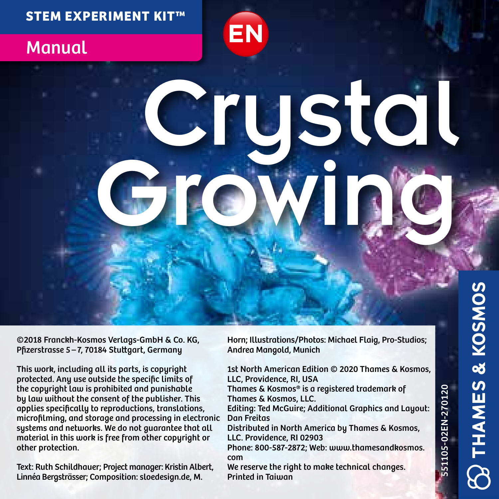#### **STEM EXPERIMENT KIT™**

## **Manual**

# Crustal Growin

©2018 Franckh-Kosmos Verlags-GmbH & Co. KG, Pfizerstrasse 5 – 7, 70184 Stuttgart, Germany

This work, including all its parts, is copyright protected. Any use outside the specific limits of the copyright law is prohibited and punishable by law without the consent of the publisher. This applies specifically to reproductions, translations, microfilming, and storage and processing in electronic systems and networks. We do not guarantee that all material in this work is free from other copyright or other protection.

Text: Ruth Schildhauer; Project manager: Kristin Albert, Linnéa Bergsträsser; Composition: sloedesign.de, M.

Horn; Illustrations/Photos: Michael Flaig, Pro-Studios; Andrea Mangold, Munich

**EN DE FR IT ES NL**

1st North American Edition © 2020 Thames & Kosmos, LLC, Providence, RI, USA

Thames & Kosmos® is a registered trademark of Thames & Kosmos, LLC.

Editing: Ted McGuire; Additional Graphics and Layout: Dan Freitas

Distributed in North America by Thames & Kosmos, LLC. Providence, RI 02903

Phone: 800-587-2872; Web: www.thamesandkosmos. com

We reserve the right to make technical changes. Printed in Taiwan

551105-02EN-270120

551105-02EN-270120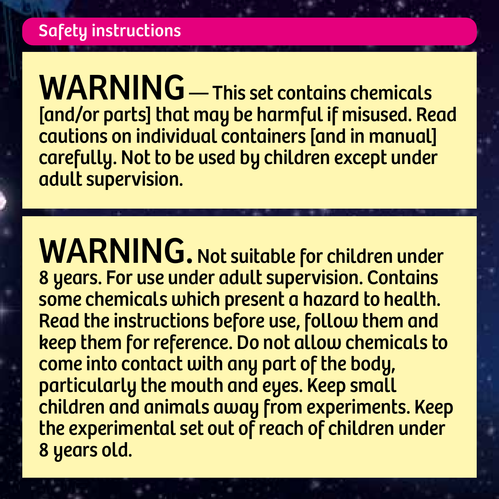WARNING — This set contains chemicals [and/or parts] that may be harmful if misused. Read cautions on individual containers [and in manual] carefully. Not to be used by children except under adult supervision.

WARNING. Not suitable for children under 8 years. For use under adult supervision. Contains some chemicals which present a hazard to health. Read the instructions before use, follow them and keep them for reference. Do not allow chemicals to come into contact with any part of the body, particularly the mouth and eyes. Keep small children and animals away from experiments. Keep the experimental set out of reach of children under 8 years old.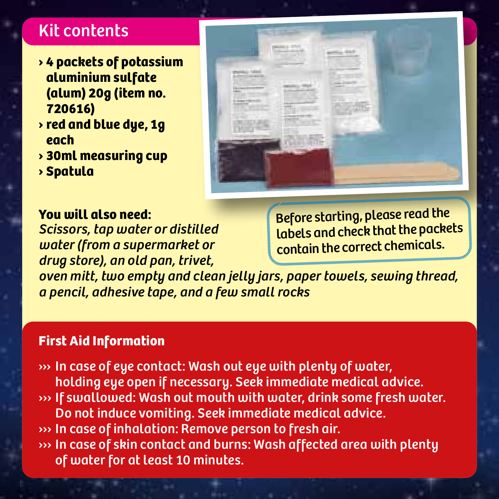# Kit contents

- **› 4 packets of potassium aluminium sulfate (alum) 20g (item no. 720616)**
- **› red and blue dye, 1g each**
- **› 30ml measuring cup**
- **› Spatula**

#### **You will also need:**

*Scissors, tap water or distilled water (from a supermarket or drug store), an old pan, trivet,* 

Before starting, please read the labels and check that the packets contain the correct chemicals.

*oven mitt, two empty and clean jelly jars, paper towels, sewing thread, a pencil, adhesive tape, and a few small rocks*

#### **First Aid Information**

››› In case of eye contact: Wash out eye with plenty of water, holding eye open if necessary. Seek immediate medical advice. ››› If swallowed: Wash out mouth with water, drink some fresh water. Do not induce vomiting. Seek immediate medical advice. ››› In case of inhalation: Remove person to fresh air. ››› In case of skin contact and burns: Wash affected area with plenty of water for at least 10 minutes.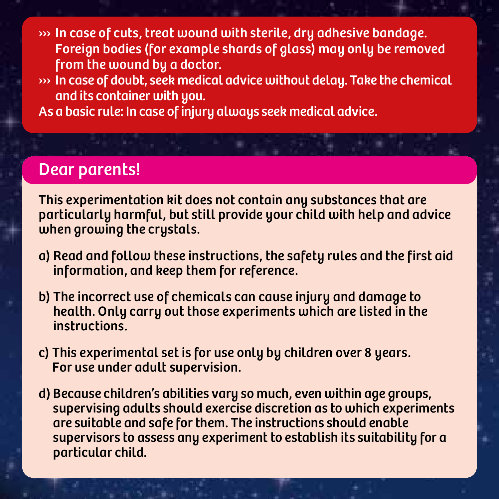››› In case of cuts, treat wound with sterile, dry adhesive bandage. Foreign bodies (for example shards of glass) may only be removed from the wound by a doctor.

- ››› In case of doubt, seek medical advice without delay. Take the chemical and its container with you.
- As a basic rule: In case of injury always seek medical advice.

## Dear parents!

This experimentation kit does not contain any substances that are particularly harmful, but still provide your child with help and advice when growing the crystals.

- a) Read and follow these instructions, the safety rules and the first aid information, and keep them for reference.
- b) The incorrect use of chemicals can cause injury and damage to health. Only carry out those experiments which are listed in the instructions.
- c) This experimental set is for use only by children over 8 years. For use under adult supervision.
- d) Because children's abilities vary so much, even within age groups, supervising adults should exercise discretion as to which experiments are suitable and safe for them. The instructions should enable supervisors to assess any experiment to establish its suitability for a particular child.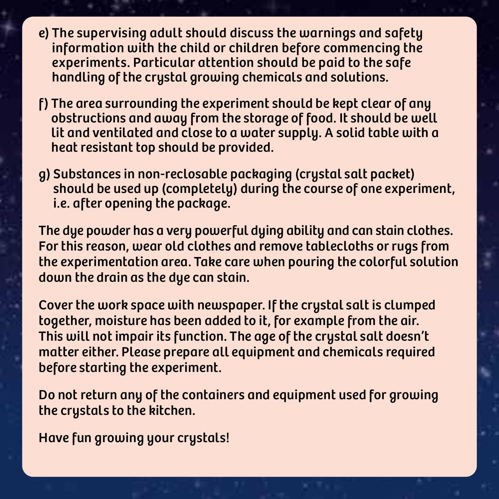- e) The supervising adult should discuss the warnings and safety information with the child or children before commencing the experiments. Particular attention should be paid to the safe handling of the crystal growing chemicals and solutions.
- f) The area surrounding the experiment should be kept clear of any obstructions and away from the storage of food. It should be well lit and ventilated and close to a water supply. A solid table with a heat resistant top should be provided.
- g) Substances in non-reclosable packaging (crystal salt packet) should be used up (completely) during the course of one experiment, i.e. after opening the package.

The dye powder has a very powerful dying ability and can stain clothes. For this reason, wear old clothes and remove tablecloths or rugs from the experimentation area. Take care when pouring the colorful solution down the drain as the due can stain.

Cover the work space with newspaper. If the crystal salt is clumped together, moisture has been added to it, for example from the air. This will not impair its function. The age of the crystal salt doesn't matter either. Please prepare all equipment and chemicals required before starting the experiment.

Do not return any of the containers and equipment used for growing the crystals to the kitchen.

Have fun growing your crystals!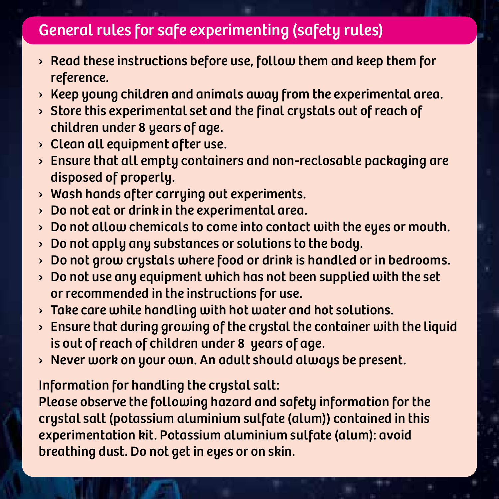# General rules for safe experimenting (safety rules)

- $\rightarrow$  Read these instructions before use, follow them and keep them for reference.
- › Keep young children and animals away from the experimental area.
- › Store this experimental set and the final crystals out of reach of children under 8 years of age.
- $\rightarrow$  Clean all equipment after use.
- › Ensure that all empty containers and non-reclosable packaging are disposed of properly.
- › Wash hands after carrying out experiments.
- › Do not eat or drink in the experimental area.
- Do not allow chemicals to come into contact with the eyes or mouth.
- › Do not apply any substances or solutions to the body.
- › Do not grow crystals where food or drink is handled or in bedrooms.
- $\rightarrow$  Do not use any equipment which has not been supplied with the set or recommended in the instructions for use.
- › Take care while handling with hot water and hot solutions.
- $\rightarrow$  Ensure that during growing of the crystal the container with the liquid is out of reach of children under 8 years of age.
- › Never work on your own. An adult should always be present.

Information for handling the crystal salt:

Please observe the following hazard and safety information for the crystal salt (potassium aluminium sulfate (alum)) contained in this experimentation kit. Potassium aluminium sulfate (alum): avoid breathing dust. Do not get in eyes or on skin.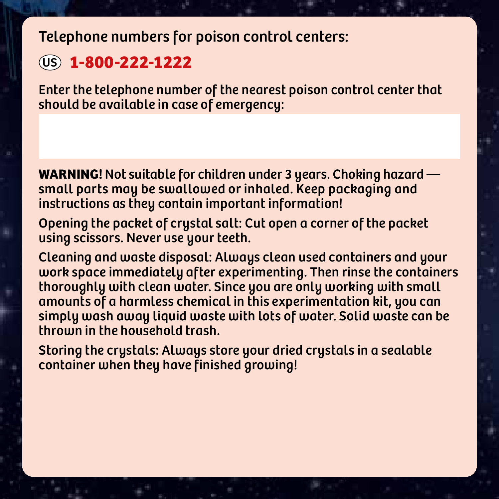Telephone numbers for poison control centers:

## US **1-800-222-1222**

Enter the telephone number of the nearest poison control center that should be available in case of emergency:

**WARNING!** Not suitable for children under 3 years. Choking hazard small parts may be swallowed or inhaled. Keep packaging and instructions as they contain important information!

Opening the packet of crystal salt: Cut open a corner of the packet using scissors. Never use your teeth.

Cleaning and waste disposal: Always clean used containers and your work space immediately after experimenting. Then rinse the containers thoroughly with clean water. Since you are only working with small amounts of a harmless chemical in this experimentation kit, you can simply wash away liquid waste with lots of water. Solid waste can be thrown in the household trash.

Storing the crystals: Always store your dried crystals in a sealable container when they have finished growing!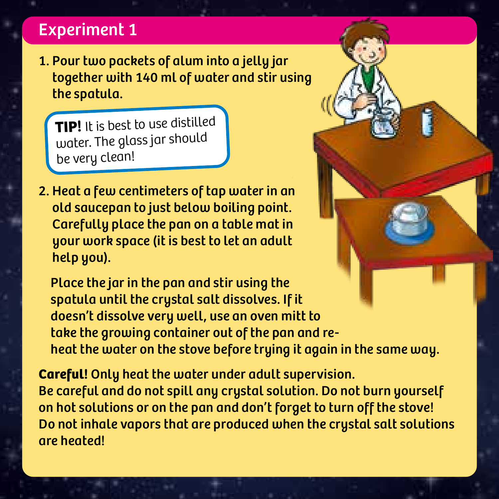# Experiment 1

1. Pour two packets of alum into a jelly jar together with 140 ml of water and stir using the spatula.

**TIP!** It is best to use distilled water. The glass jar should be very clean!

2. Heat a few centimeters of tap water in an old saucepan to just below boiling point. Carefully place the pan on a table mat in your work space (it is best to let an adult help you).

 Place the jar in the pan and stir using the spatula until the crystal salt dissolves. If it doesn't dissolve very well, use an oven mitt to take the growing container out of the pan and reheat the water on the stove before trying it again in the same way.

**Careful!** Only heat the water under adult supervision. Be careful and do not spill any crystal solution. Do not burn yourself on hot solutions or on the pan and don't forget to turn off the stove! Do not inhale vapors that are produced when the crystal salt solutions are heated!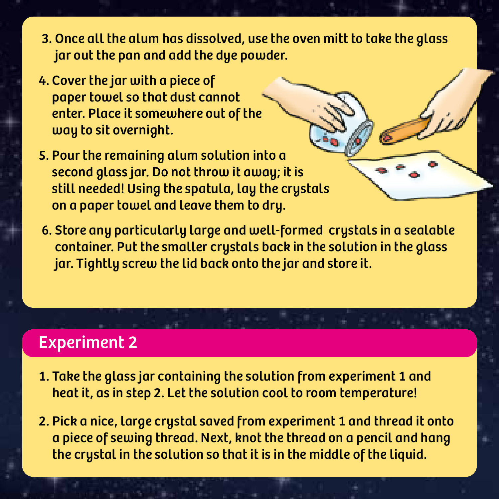- 3. Once all the alum has dissolved, use the oven mitt to take the glass jar out the pan and add the dye powder.
- 4. Cover the jar with a piece of paper towel so that dust cannot enter. Place it somewhere out of the way to sit overnight.
- 5. Pour the remaining alum solution into a second glass jar. Do not throw it away; it is still needed! Using the spatula, lay the crystals on a paper towel and leave them to dry.
- 6. Store any particularly large and well-formed crystals in a sealable container. Put the smaller crystals back in the solution in the glass jar. Tightly screw the lid back onto the jar and store it.

# Experiment 2

- 1. Take the glass jar containing the solution from experiment 1 and heat it, as in step 2. Let the solution cool to room temperature!
- 2. Pick a nice, large crystal saved from experiment 1 and thread it onto a piece of sewing thread. Next, knot the thread on a pencil and hang the crystal in the solution so that it is in the middle of the liquid.